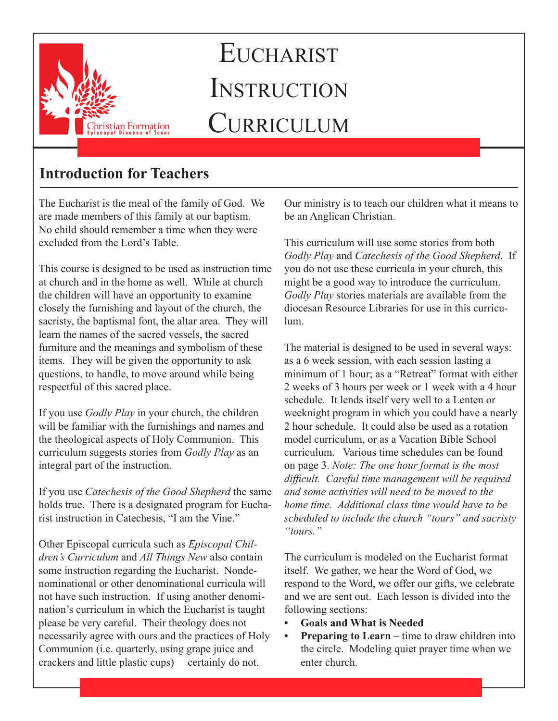

# **EUCHARIST INSTRUCTION CURRICULUM**

## **Introduction for Teachers**

The Eucharist is the meal of the family of God. We are made members of this family at our baptism. No child should remember a time when they were excluded from the Lord's Table.

This course is designed to be used as instruction time at church and in the home as well. While at church the children will have an opportunity to examine closely the furnishing and layout of the church, the sacristy, the baptismal font, the altar area. They will learn the names of the sacred vessels, the sacred furniture and the meanings and symbolism of these items. They will be given the opportunity to ask questions, to handle, to move around while being respectful of this sacred place.

If you use *Godly Play* in your church, the children will be familiar with the furnishings and names and the theological aspects of Holy Communion. This curriculum suggests stories from *Godly Play* as an integral part of the instruction.

If you use *Catechesis of the Good Shepherd* the same holds true. There is a designated program for Eucharist instruction in Catechesis, "I am the Vine."

Other Episcopal curricula such as *Episcopal Children's Curriculum* and *All Things New* also contain some instruction regarding the Eucharist. Nondenominational or other denominational curricula will not have such instruction. If using another denomination's curriculum in which the Eucharist is taught please be very careful. Their theology does not necessarily agree with ours and the practices of Holy Communion (i.e. quarterly, using grape juice and crackers and little plastic cups) certainly do not.

Our ministry is to teach our children what it means to be an Anglican Christian.

This curriculum will use some stories from both *Godly Play* and *Catechesis of the Good Shepherd*. If you do not use these curricula in your church, this might be a good way to introduce the curriculum. *Godly Play* stories materials are available from the diocesan Resource Libraries for use in this curriculum.

The material is designed to be used in several ways: as a 6 week session, with each session lasting a minimum of 1 hour; as a "Retreat" format with either 2 weeks of 3 hours per week or 1 week with a 4 hour schedule. It lends itself very well to a Lenten or weeknight program in which you could have a nearly 2 hour schedule. It could also be used as a rotation model curriculum, or as a Vacation Bible School curriculum. Various time schedules can be found on page 3. *Note: The one hour format is the most difficult. Careful time management will be required and some activities will need to be moved to the home time. Additional class time would have to be scheduled to include the church "tours" and sacristy "tours."*

The curriculum is modeled on the Eucharist format itself. We gather, we hear the Word of God, we respond to the Word, we offer our gifts, we celebrate and we are sent out. Each lesson is divided into the following sections:

- **• Goals and What is Needed**
- **• Preparing to Learn** time to draw children into the circle. Modeling quiet prayer time when we enter church.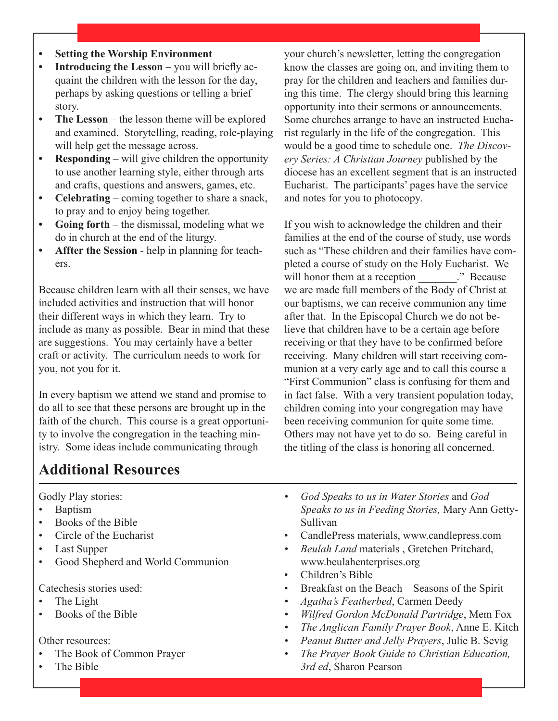- **• Setting the Worship Environment**
- **• Introducing the Lesson** you will briefly acquaint the children with the lesson for the day, perhaps by asking questions or telling a brief story.
- **The Lesson** the lesson theme will be explored and examined. Storytelling, reading, role-playing will help get the message across.
- **• Responding** will give children the opportunity to use another learning style, either through arts and crafts, questions and answers, games, etc.
- **• Celebrating** coming together to share a snack, to pray and to enjoy being together.
- **• Going forth** the dismissal, modeling what we do in church at the end of the liturgy.
- **• Affter the Session** help in planning for teachers.

Because children learn with all their senses, we have included activities and instruction that will honor their different ways in which they learn. Try to include as many as possible. Bear in mind that these are suggestions. You may certainly have a better craft or activity. The curriculum needs to work for you, not you for it.

In every baptism we attend we stand and promise to do all to see that these persons are brought up in the faith of the church. This course is a great opportunity to involve the congregation in the teaching ministry. Some ideas include communicating through

your church's newsletter, letting the congregation know the classes are going on, and inviting them to pray for the children and teachers and families during this time. The clergy should bring this learning opportunity into their sermons or announcements. Some churches arrange to have an instructed Eucharist regularly in the life of the congregation. This would be a good time to schedule one. *The Discovery Series: A Christian Journey* published by the diocese has an excellent segment that is an instructed Eucharist. The participants' pages have the service and notes for you to photocopy.

If you wish to acknowledge the children and their families at the end of the course of study, use words such as "These children and their families have completed a course of study on the Holy Eucharist. We will honor them at a reception  $\therefore$  Because we are made full members of the Body of Christ at our baptisms, we can receive communion any time after that. In the Episcopal Church we do not believe that children have to be a certain age before receiving or that they have to be confirmed before receiving. Many children will start receiving communion at a very early age and to call this course a "First Communion" class is confusing for them and in fact false. With a very transient population today, children coming into your congregation may have been receiving communion for quite some time. Others may not have yet to do so. Being careful in the titling of the class is honoring all concerned.

## **Additional Resources**

Godly Play stories:

- Baptism
- Books of the Bible
- Circle of the Eucharist
- Last Supper
- Good Shepherd and World Communion

Catechesis stories used:

- The Light
- Books of the Bible

Other resources:

- The Book of Common Prayer
- The Bible
- *• God Speaks to us in Water Stories* and *God Speaks to us in Feeding Stories,* Mary Ann Getty-Sullivan
- CandlePress materials, www.candlepress.com
- *• Beulah Land* materials , Gretchen Pritchard, www.beulahenterprises.org
- Children's Bible
- Breakfast on the Beach Seasons of the Spirit
- *• Agatha's Featherbed*, Carmen Deedy
- *• Wilfred Gordon McDonald Partridge*, Mem Fox
- *• The Anglican Family Prayer Book*, Anne E. Kitch
- *• Peanut Butter and Jelly Prayers*, Julie B. Sevig
- *• The Prayer Book Guide to Christian Education, 3rd ed*, Sharon Pearson